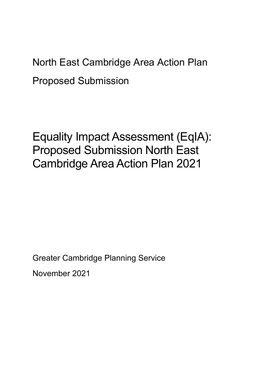North East Cambridge Area Action Plan Proposed Submission

Equality Impact Assessment (EqIA): Proposed Submission North East Cambridge Area Action Plan 2021

Greater Cambridge Planning Service November 2021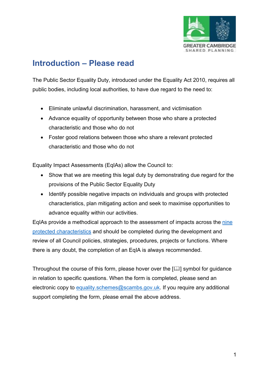

# **Introduction – Please read**

The Public Sector Equality Duty, introduced under the Equality Act 2010, requires all public bodies, including local authorities, to have due regard to the need to:

- Eliminate unlawful discrimination, harassment, and victimisation
- Advance equality of opportunity between those who share a protected characteristic and those who do not
- Foster good relations between those who share a relevant protected characteristic and those who do not

Equality Impact Assessments (EqIAs) allow the Council to:

- Show that we are meeting this legal duty by demonstrating due regard for the provisions of the Public Sector Equality Duty
- Identify possible negative impacts on individuals and groups with protected characteristics, plan mitigating action and seek to maximise opportunities to advance equality within our activities.

EqIAs provide a methodical approach to the assessment of impacts across the [nine](https://www.equalityhumanrights.com/en/equality-act/protected-characteristics)  [protected characteristics](https://www.equalityhumanrights.com/en/equality-act/protected-characteristics) and should be completed during the development and review of all Council policies, strategies, procedures, projects or functions. Where there is any doubt, the completion of an EqIA is always recommended.

Throughout the course of this form, please hover over the  $[$ [1]] symbol for guidance in relation to specific questions. When the form is completed, please send an electronic copy to [equality.schemes@scambs.gov.uk.](mailto:equality.schemes@scambs.gov.uk) If you require any additional support completing the form, please email the above address.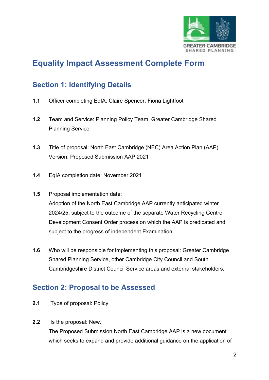

# **Equality Impact Assessment Complete Form**

## **Section 1: Identifying Details**

- **1.1** Officer completing EqIA: Claire Spencer, Fiona Lightfoot
- **1.2** Team and Service: Planning Policy Team, Greater Cambridge Shared Planning Service
- **1.3** Title of proposal: North East Cambridge (NEC) Area Action Plan (AAP) Version: Proposed Submission AAP 2021
- **1.4** EqIA completion date: November 2021
- **1.5** Proposal implementation date: Adoption of the North East Cambridge AAP currently anticipated winter 2024/25, subject to the outcome of the separate Water Recycling Centre Development Consent Order process on which the AAP is predicated and subject to the progress of independent Examination.
- **1.6** Who will be responsible for implementing this proposal: Greater Cambridge Shared Planning Service, other Cambridge City Council and South Cambridgeshire District Council Service areas and external stakeholders.

## **Section 2: Proposal to be Assessed**

- **2.1** Type of proposal: Policy
- **2.2** Is the proposal: New.

The Proposed Submission North East Cambridge AAP is a new document which seeks to expand and provide additional guidance on the application of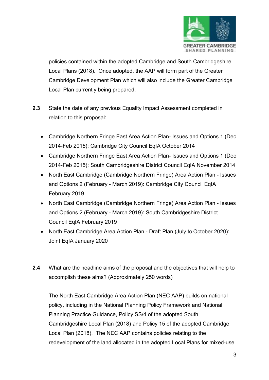

policies contained within the adopted Cambridge and South Cambridgeshire Local Plans (2018). Once adopted, the AAP will form part of the Greater Cambridge Development Plan which will also include the Greater Cambridge Local Plan currently being prepared.

- **2.3** State the date of any previous Equality Impact Assessment completed in relation to this proposal:
	- Cambridge Northern Fringe East Area Action Plan- Issues and Options 1 (Dec 2014-Feb 2015): Cambridge City Council EqIA October 2014
	- Cambridge Northern Fringe East Area Action Plan- Issues and Options 1 (Dec 2014-Feb 2015): South Cambridgeshire District Council EqIA November 2014
	- North East Cambridge (Cambridge Northern Fringe) Area Action Plan Issues and Options 2 (February - March 2019): Cambridge City Council EqIA February 2019
	- North East Cambridge (Cambridge Northern Fringe) Area Action Plan Issues and Options 2 (February - March 2019): South Cambridgeshire District Council EqIA February 2019
	- North East Cambridge Area Action Plan Draft Plan (July to October 2020): Joint EqIA January 2020
- **2.4** What are the headline aims of the proposal and the objectives that will help to accomplish these aims? (Approximately 250 words)

The North East Cambridge Area Action Plan (NEC AAP) builds on national policy, including in the National Planning Policy Framework and National Planning Practice Guidance, Policy SS/4 of the adopted South Cambridgeshire Local Plan (2018) and Policy 15 of the adopted Cambridge Local Plan (2018). The NEC AAP contains policies relating to the redevelopment of the land allocated in the adopted Local Plans for mixed-use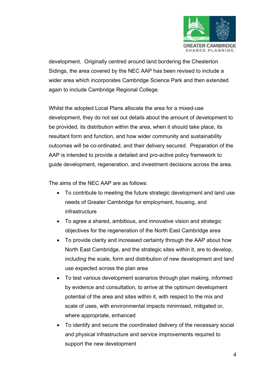

development. Originally centred around land bordering the Chesterton Sidings, the area covered by the NEC AAP has been revised to include a wider area which incorporates Cambridge Science Park and then extended again to include Cambridge Regional College.

Whilst the adopted Local Plans allocate the area for a mixed-use development, they do not set out details about the amount of development to be provided, its distribution within the area, when it should take place, its resultant form and function, and how wider community and sustainability outcomes will be co-ordinated, and their delivery secured. Preparation of the AAP is intended to provide a detailed and pro-active policy framework to guide development, regeneration, and investment decisions across the area.

The aims of the NEC AAP are as follows:

- To contribute to meeting the future strategic development and land use needs of Greater Cambridge for employment, housing, and infrastructure
- To agree a shared, ambitious, and innovative vision and strategic objectives for the regeneration of the North East Cambridge area
- To provide clarity and increased certainty through the AAP about how North East Cambridge, and the strategic sites within it, are to develop, including the scale, form and distribution of new development and land use expected across the plan area
- To test various development scenarios through plan making, informed by evidence and consultation, to arrive at the optimum development potential of the area and sites within it, with respect to the mix and scale of uses, with environmental impacts minimised, mitigated or, where appropriate, enhanced
- To identify and secure the coordinated delivery of the necessary social and physical infrastructure and service improvements required to support the new development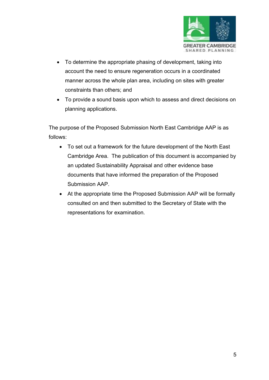

- To determine the appropriate phasing of development, taking into account the need to ensure regeneration occurs in a coordinated manner across the whole plan area, including on sites with greater constraints than others; and
- To provide a sound basis upon which to assess and direct decisions on planning applications.

The purpose of the Proposed Submission North East Cambridge AAP is as follows:

- To set out a framework for the future development of the North East Cambridge Area. The publication of this document is accompanied by an updated Sustainability Appraisal and other evidence base documents that have informed the preparation of the Proposed Submission AAP.
- At the appropriate time the Proposed Submission AAP will be formally consulted on and then submitted to the Secretary of State with the representations for examination.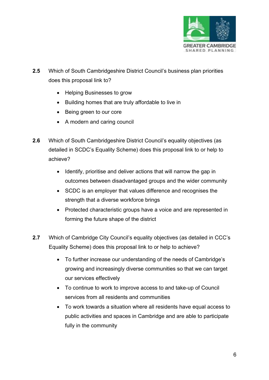

- **2.5** Which of South Cambridgeshire District Council's business plan priorities does this proposal link to?
	- Helping Businesses to grow
	- Building homes that are truly affordable to live in
	- Being green to our core
	- A modern and caring council
- **2.6** Which of South Cambridgeshire District Council's equality objectives (as detailed in SCDC's Equality Scheme) does this proposal link to or help to achieve?
	- Identify, prioritise and deliver actions that will narrow the gap in outcomes between disadvantaged groups and the wider community
	- SCDC is an employer that values difference and recognises the strength that a diverse workforce brings
	- Protected characteristic groups have a voice and are represented in forming the future shape of the district
- **2.7** Which of Cambridge City Council's equality objectives (as detailed in CCC's Equality Scheme) does this proposal link to or help to achieve?
	- To further increase our understanding of the needs of Cambridge's growing and increasingly diverse communities so that we can target our services effectively
	- To continue to work to improve access to and take-up of Council services from all residents and communities
	- To work towards a situation where all residents have equal access to public activities and spaces in Cambridge and are able to participate fully in the community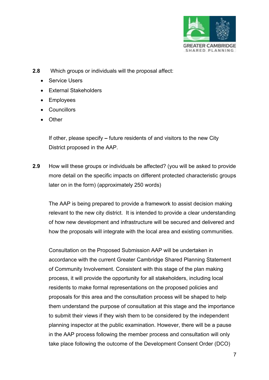

- **2.8** Which groups or individuals will the proposal affect:
	- Service Users
	- External Stakeholders
	- Employees
	- Councillors
	- Other

If other, please specify **–** future residents of and visitors to the new City District proposed in the AAP.

**2.9** How will these groups or individuals be affected? (you will be asked to provide more detail on the specific impacts on different protected characteristic groups later on in the form) (approximately 250 words)

The AAP is being prepared to provide a framework to assist decision making relevant to the new city district. It is intended to provide a clear understanding of how new development and infrastructure will be secured and delivered and how the proposals will integrate with the local area and existing communities.

Consultation on the Proposed Submission AAP will be undertaken in accordance with the current Greater Cambridge Shared Planning Statement of Community Involvement. Consistent with this stage of the plan making process, it will provide the opportunity for all stakeholders, including local residents to make formal representations on the proposed policies and proposals for this area and the consultation process will be shaped to help them understand the purpose of consultation at this stage and the importance to submit their views if they wish them to be considered by the independent planning inspector at the public examination. However, there will be a pause in the AAP process following the member process and consultation will only take place following the outcome of the Development Consent Order (DCO)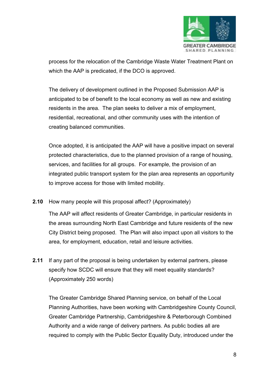

process for the relocation of the Cambridge Waste Water Treatment Plant on which the AAP is predicated, if the DCO is approved.

The delivery of development outlined in the Proposed Submission AAP is anticipated to be of benefit to the local economy as well as new and existing residents in the area. The plan seeks to deliver a mix of employment, residential, recreational, and other community uses with the intention of creating balanced communities.

Once adopted, it is anticipated the AAP will have a positive impact on several protected characteristics, due to the planned provision of a range of housing, services, and facilities for all groups. For example, the provision of an integrated public transport system for the plan area represents an opportunity to improve access for those with limited mobility.

**2.10** How many people will this proposal affect? (Approximately)

The AAP will affect residents of Greater Cambridge, in particular residents in the areas surrounding North East Cambridge and future residents of the new City District being proposed. The Plan will also impact upon all visitors to the area, for employment, education, retail and leisure activities.

**2.11** If any part of the proposal is being undertaken by external partners, please specify how SCDC will ensure that they will meet equality standards? (Approximately 250 words)

The Greater Cambridge Shared Planning service, on behalf of the Local Planning Authorities, have been working with Cambridgeshire County Council, Greater Cambridge Partnership, Cambridgeshire & Peterborough Combined Authority and a wide range of delivery partners. As public bodies all are required to comply with the Public Sector Equality Duty, introduced under the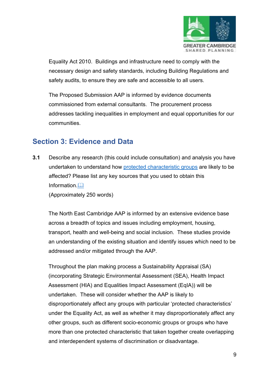

Equality Act 2010. Buildings and infrastructure need to comply with the necessary design and safety standards, including Building Regulations and safety audits, to ensure they are safe and accessible to all users.

The Proposed Submission AAP is informed by evidence documents commissioned from external consultants. The procurement process addresses tackling inequalities in employment and equal opportunities for our communities.

## **Section 3: Evidence and Data**

**3.1** Describe any research (this could include consultation) and analysis you have undertaken to understand how [protected characteristic](https://www.equalityhumanrights.com/en/equality-act/protected-characteristics) groups are likely to be affected? Please list any key sources that you used to obtain this Information.

<span id="page-9-0"></span>(Approximately 250 words)

The North East Cambridge AAP is informed by an extensive evidence base across a breadth of topics and issues including employment, housing, transport, health and well-being and social inclusion. These studies provide an understanding of the existing situation and identify issues which need to be addressed and/or mitigated through the AAP.

Throughout the plan making process a Sustainability Appraisal (SA) (incorporating Strategic Environmental Assessment (SEA), Health Impact Assessment (HIA) and Equalities Impact Assessment (EqIA)) will be undertaken. These will consider whether the AAP is likely to disproportionately affect any groups with particular 'protected characteristics' under the Equality Act, as well as whether it may disproportionately affect any other groups, such as different socio-economic groups or groups who have more than one protected characteristic that taken together create overlapping and interdependent systems of discrimination or disadvantage.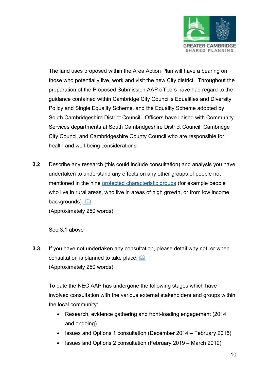

The land uses proposed within the Area Action Plan will have a bearing on those who potentially live, work and visit the new City district. Throughout the preparation of the Proposed Submission AAP officers have had regard to the guidance contained within Cambridge City Council's Equalities and Diversity Policy and Single Equality Scheme, and the Equality Scheme adopted by South Cambridgeshire District Council. Officers have liaised with Community Services departments at South Cambridgeshire District Council, Cambridge City Council and Cambridgeshire County Council who are responsible for health and well-being considerations.

**3.2** Describe any research (this could include consultation) and analysis you have undertaken to understand any effects on any other groups of people not mentioned in the nine [protected characteristic](https://www.equalityhumanrights.com/en/equality-act/protected-characteristics) groups (for example people who live in rural areas, who live in areas of high growth, or from low income backgrounds). (Approximately 250 words)

See 3.1 above

**3.3** If you have not undertaken any consultation, please detail why not, or when consultation is planned to take place. (Approximately 250 words)

To date the NEC AAP has undergone the following stages which have involved consultation with the various external stakeholders and groups within the local community:

- Research, evidence gathering and front-loading engagement (2014 and ongoing)
- Issues and Options 1 consultation (December 2014 February 2015)
- Issues and Options 2 consultation (February 2019 March 2019)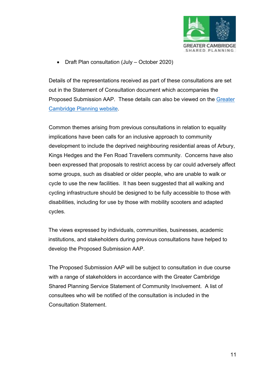

• Draft Plan consultation (July – October 2020)

Details of the representations received as part of these consultations are set out in the Statement of Consultation document which accompanies the Proposed Submission AAP. These details can also be viewed on the [Greater](https://www.greatercambridgeplanning.org/)  [Cambridge Planning website.](https://www.greatercambridgeplanning.org/)

Common themes arising from previous consultations in relation to equality implications have been calls for an inclusive approach to community development to include the deprived neighbouring residential areas of Arbury, Kings Hedges and the Fen Road Travellers community. Concerns have also been expressed that proposals to restrict access by car could adversely affect some groups, such as disabled or older people, who are unable to walk or cycle to use the new facilities. It has been suggested that all walking and cycling infrastructure should be designed to be fully accessible to those with disabilities, including for use by those with mobility scooters and adapted cycles.

The views expressed by individuals, communities, businesses, academic institutions, and stakeholders during previous consultations have helped to develop the Proposed Submission AAP.

The Proposed Submission AAP will be subject to consultation in due course with a range of stakeholders in accordance with the Greater Cambridge Shared Planning Service Statement of Community Involvement. A list of consultees who will be notified of the consultation is included in the Consultation Statement.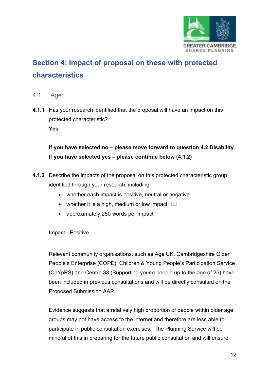

# **Section 4: Impact of proposal on those with protected characteristics**

#### 4.1 [Age:](https://www.equalityhumanrights.com/en/equality-act/protected-characteristics#age)

**4.1.1** Has your research identified that the proposal will have an impact on this protected characteristic? **Yes**

**If you have selected no – please move forward to question 4.2 Disability If you have selected yes – please continue below (4.1.2)**

- **4.1.2** Describe the impacts of the proposal on this protected characteristic group identified through your research, including
	- whether each impact is positive, neutral or negative
	- whether it is a high, medium or low impact.  $\square$
	- approximately 250 words per impact

Impact - Positive

Relevant community organisations, such as Age UK, Cambridgeshire Older People's Enterprise (COPE), Children & Young People's Participation Service (ChYpPS) and Centre 33 (Supporting young people up to the age of 25) have been included in previous consultations and will be directly consulted on the Proposed Submission AAP.

Evidence suggests that a relatively high proportion of people within older age groups may not have access to the internet and therefore are less able to participate in public consultation exercises. The Planning Service will be mindful of this in preparing for the future public consultation and will ensure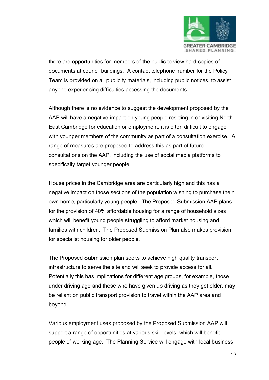

there are opportunities for members of the public to view hard copies of documents at council buildings. A contact telephone number for the Policy Team is provided on all publicity materials, including public notices, to assist anyone experiencing difficulties accessing the documents.

Although there is no evidence to suggest the development proposed by the AAP will have a negative impact on young people residing in or visiting North East Cambridge for education or employment, it is often difficult to engage with younger members of the community as part of a consultation exercise. A range of measures are proposed to address this as part of future consultations on the AAP, including the use of social media platforms to specifically target younger people.

House prices in the Cambridge area are particularly high and this has a negative impact on those sections of the population wishing to purchase their own home, particularly young people. The Proposed Submission AAP plans for the provision of 40% affordable housing for a range of household sizes which will benefit young people struggling to afford market housing and families with children. The Proposed Submission Plan also makes provision for specialist housing for older people.

The Proposed Submission plan seeks to achieve high quality transport infrastructure to serve the site and will seek to provide access for all. Potentially this has implications for different age groups, for example, those under driving age and those who have given up driving as they get older, may be reliant on public transport provision to travel within the AAP area and beyond.

Various employment uses proposed by the Proposed Submission AAP will support a range of opportunities at various skill levels, which will benefit people of working age. The Planning Service will engage with local business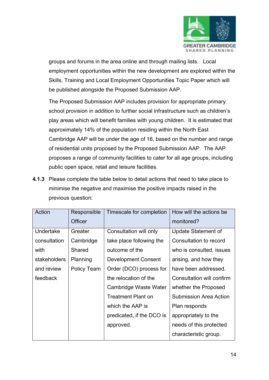

groups and forums in the area online and through mailing lists. Local employment opportunities within the new development are explored within the Skills, Training and Local Employment Opportunities Topic Paper which will be published alongside the Proposed Submission AAP.

The Proposed Submission AAP includes provision for appropriate primary school provision in addition to further social infrastructure such as children's play areas which will benefit families with young children. It is estimated that approximately 14% of the population residing within the North East Cambridge AAP will be under the age of 16, based on the number and range of residential units proposed by the Proposed Submission AAP. The AAP proposes a range of community facilities to cater for all age groups, including public open space, retail and leisure facilities.

**4.1.3** Please complete the table below to detail actions that need to take place to minimise the negative and maximise the positive impacts raised in the previous question:

| Action       | Responsible    | Timescale for completion   | How will the actions be       |
|--------------|----------------|----------------------------|-------------------------------|
|              | <b>Officer</b> |                            | monitored?                    |
| Undertake    | Greater        | Consultation will only     | Update Statement of           |
| consultation | Cambridge      | take place following the   | Consultation to record        |
| with         | Shared         | outcome of the             | who is consulted, issues      |
| stakeholders | Planning       | <b>Development Consent</b> | arising, and how they         |
| and review   | Policy Team    | Order (DCO) process for    | have been addressed.          |
| feedback     |                | the relocation of the      | Consultation will confirm     |
|              |                | Cambridge Waste Water      | whether the Proposed          |
|              |                | <b>Treatment Plant on</b>  | <b>Submission Area Action</b> |
|              |                | which the AAP is           | Plan responds                 |
|              |                | predicated, if the DCO is  | appropriately to the          |
|              |                | approved.                  | needs of this protected       |
|              |                |                            | characteristic group.         |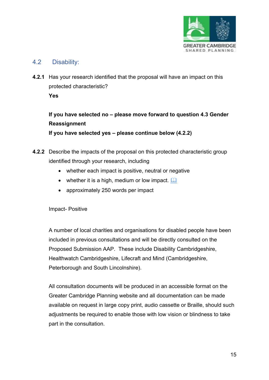

### 4.2 [Disability:](https://www.equalityhumanrights.com/en/equality-act/protected-characteristics#disability)

**4.2.1** Has your research identified that the proposal will have an impact on this protected characteristic? **Yes**

**If you have selected no – please move forward to question 4.3 Gender Reassignment**

**If you have selected yes – please continue below (4.2.2)**

- **4.2.2** Describe the impacts of the proposal on this protected characteristic group identified through your research, including
	- whether each impact is positive, neutral or negative
	- whether it is a high, medium or low impact.  $\square$
	- approximately 250 words per impact

Impact- Positive

A number of local charities and organisations for disabled people have been included in previous consultations and will be directly consulted on the Proposed Submission AAP. These include Disability Cambridgeshire, Healthwatch Cambridgeshire, Lifecraft and Mind (Cambridgeshire, Peterborough and South Lincolnshire).

All consultation documents will be produced in an accessible format on the Greater Cambridge Planning website and all documentation can be made available on request in large copy print, audio cassette or Braille, should such adjustments be required to enable those with low vision or blindness to take part in the consultation.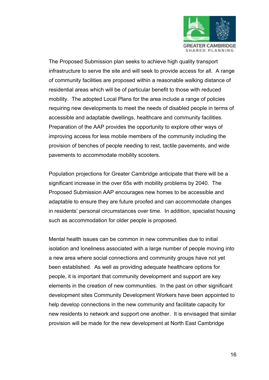

The Proposed Submission plan seeks to achieve high quality transport infrastructure to serve the site and will seek to provide access for all. A range of community facilities are proposed within a reasonable walking distance of residential areas which will be of particular benefit to those with reduced mobility. The adopted Local Plans for the area include a range of policies requiring new developments to meet the needs of disabled people in terms of accessible and adaptable dwellings, healthcare and community facilities. Preparation of the AAP provides the opportunity to explore other ways of improving access for less mobile members of the community including the provision of benches of people needing to rest, tactile pavements, and wide pavements to accommodate mobility scooters.

Population projections for Greater Cambridge anticipate that there will be a significant increase in the over 65s with mobility problems by 2040. The Proposed Submission AAP encourages new homes to be accessible and adaptable to ensure they are future proofed and can accommodate changes in residents' personal circumstances over time. In addition, specialist housing such as accommodation for older people is proposed.

Mental health issues can be common in new communities due to initial isolation and loneliness associated with a large number of people moving into a new area where social connections and community groups have not yet been established. As well as providing adequate healthcare options for people, it is important that community development and support are key elements in the creation of new communities. In the past on other significant development sites Community Development Workers have been appointed to help develop connections in the new community and facilitate capacity for new residents to network and support one another. It is envisaged that similar provision will be made for the new development at North East Cambridge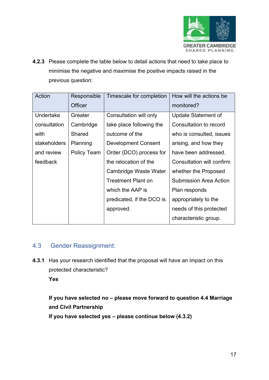

**4.2.3** Please complete the table below to detail actions that need to take place to minimise the negative and maximise the positive impacts raised in the previous question:

| Action       | Responsible | Timescale for completion   | How will the actions be       |
|--------------|-------------|----------------------------|-------------------------------|
|              | Officer     |                            | monitored?                    |
| Undertake    | Greater     | Consultation will only     | Update Statement of           |
| consultation | Cambridge   | take place following the   | Consultation to record        |
| with         | Shared      | outcome of the             | who is consulted, issues      |
| stakeholders | Planning    | <b>Development Consent</b> | arising, and how they         |
| and review   | Policy Team | Order (DCO) process for    | have been addressed.          |
| feedback     |             | the relocation of the      | Consultation will confirm     |
|              |             | Cambridge Waste Water      | whether the Proposed          |
|              |             | <b>Treatment Plant on</b>  | <b>Submission Area Action</b> |
|              |             | which the AAP is           | Plan responds                 |
|              |             | predicated, if the DCO is  | appropriately to the          |
|              |             | approved.                  | needs of this protected       |
|              |             |                            | characteristic group.         |

### 4.3 [Gender Reassignment:](https://www.equalityhumanrights.com/en/equality-act/protected-characteristics#age)

**4.3.1** Has your research identified that the proposal will have an impact on this protected characteristic?

**Yes**

## **If you have selected no – please move forward to question 4.4 Marriage and Civil Partnership**

**If you have selected yes – please continue below (4.3.2)**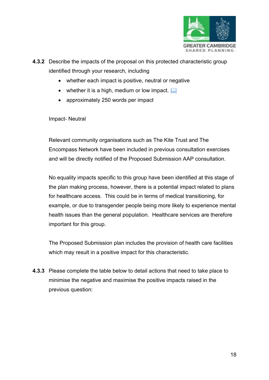

**4.3.2** Describe the impacts of the proposal on this protected characteristic group identified through your research, including

- whether each impact is positive, neutral or negative
- whether it is a high, medium or low impact.  $\square$
- approximately 250 words per impact

#### Impact- Neutral

Relevant community organisations such as The Kite Trust and The Encompass Network have been included in previous consultation exercises and will be directly notified of the Proposed Submission AAP consultation.

No equality impacts specific to this group have been identified at this stage of the plan making process, however, there is a potential impact related to plans for healthcare access. This could be in terms of medical transitioning, for example, or due to transgender people being more likely to experience mental health issues than the general population. Healthcare services are therefore important for this group.

The Proposed Submission plan includes the provision of health care facilities which may result in a positive impact for this characteristic.

**4.3.3** Please complete the table below to detail actions that need to take place to minimise the negative and maximise the positive impacts raised in the previous question: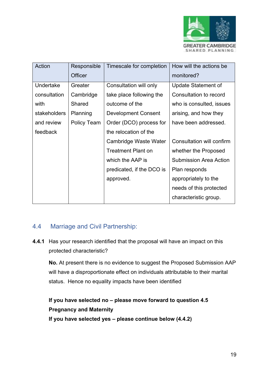

| Action           | Responsible | Timescale for completion   | How will the actions be       |
|------------------|-------------|----------------------------|-------------------------------|
|                  | Officer     |                            | monitored?                    |
| <b>Undertake</b> | Greater     | Consultation will only     | Update Statement of           |
| consultation     | Cambridge   | take place following the   | Consultation to record        |
| with             | Shared      | outcome of the             | who is consulted, issues      |
| stakeholders     | Planning    | <b>Development Consent</b> | arising, and how they         |
| and review       | Policy Team | Order (DCO) process for    | have been addressed.          |
| feedback         |             | the relocation of the      |                               |
|                  |             | Cambridge Waste Water      | Consultation will confirm     |
|                  |             | <b>Treatment Plant on</b>  | whether the Proposed          |
|                  |             | which the AAP is           | <b>Submission Area Action</b> |
|                  |             | predicated, if the DCO is  | Plan responds                 |
|                  |             | approved.                  | appropriately to the          |
|                  |             |                            | needs of this protected       |
|                  |             |                            | characteristic group.         |

### 4.4 [Marriage and Civil Partnership:](https://www.equalityhumanrights.com/en/equality-act/protected-characteristics#age)

**4.4.1** Has your research identified that the proposal will have an impact on this protected characteristic?

**No.** At present there is no evidence to suggest the Proposed Submission AAP will have a disproportionate effect on individuals attributable to their marital status. Hence no equality impacts have been identified

## **If you have selected no – please move forward to question 4.5 Pregnancy and Maternity If you have selected yes – please continue below (4.4.2)**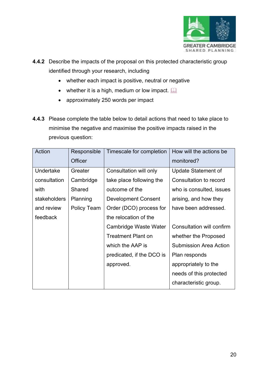

- **4.4.2** Describe the impacts of the proposal on this protected characteristic group identified through your research, including
	- whether each impact is positive, neutral or negative
	- whether it is a high, medium or low impact.  $\square$
	- approximately 250 words per impact
- **4.4.3** Please complete the table below to detail actions that need to take place to minimise the negative and maximise the positive impacts raised in the previous question:

| Action       | Responsible        | Timescale for completion   | How will the actions be       |
|--------------|--------------------|----------------------------|-------------------------------|
|              | Officer            |                            | monitored?                    |
| Undertake    | Greater            | Consultation will only     | Update Statement of           |
| consultation | Cambridge          | take place following the   | Consultation to record        |
| with         | Shared             | outcome of the             | who is consulted, issues      |
| stakeholders | Planning           | <b>Development Consent</b> | arising, and how they         |
| and review   | <b>Policy Team</b> | Order (DCO) process for    | have been addressed.          |
| feedback     |                    | the relocation of the      |                               |
|              |                    | Cambridge Waste Water      | Consultation will confirm     |
|              |                    | <b>Treatment Plant on</b>  | whether the Proposed          |
|              |                    | which the AAP is           | <b>Submission Area Action</b> |
|              |                    | predicated, if the DCO is  | Plan responds                 |
|              |                    | approved.                  | appropriately to the          |
|              |                    |                            | needs of this protected       |
|              |                    |                            | characteristic group.         |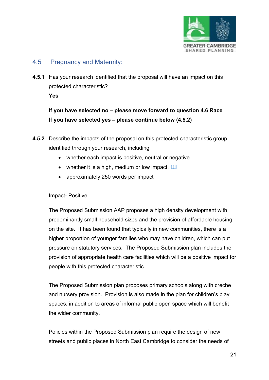

### 4.5 [Pregnancy and Maternity:](https://www.equalityhumanrights.com/en/equality-act/protected-characteristics#age)

**4.5.1** Has your research identified that the proposal will have an impact on this protected characteristic? **Yes**

**If you have selected no – please move forward to question 4.6 Race If you have selected yes – please continue below (4.5.2)**

- **4.5.2** Describe the impacts of the proposal on this protected characteristic group identified through your research, including
	- whether each impact is positive, neutral or negative
	- whether it is a high, medium or low impact.  $\square$
	- approximately 250 words per impact

#### Impact- Positive

The Proposed Submission AAP proposes a high density development with predominantly small household sizes and the provision of affordable housing on the site. It has been found that typically in new communities, there is a higher proportion of younger families who may have children, which can put pressure on statutory services. The Proposed Submission plan includes the provision of appropriate health care facilities which will be a positive impact for people with this protected characteristic.

The Proposed Submission plan proposes primary schools along with creche and nursery provision. Provision is also made in the plan for children's play spaces, in addition to areas of informal public open space which will benefit the wider community.

Policies within the Proposed Submission plan require the design of new streets and public places in North East Cambridge to consider the needs of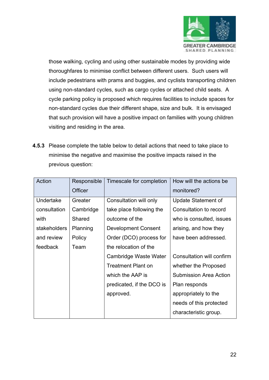

those walking, cycling and using other sustainable modes by providing wide thoroughfares to minimise conflict between different users. Such users will include pedestrians with prams and buggies, and cyclists transporting children using non-standard cycles, such as cargo cycles or attached child seats. A cycle parking policy is proposed which requires facilities to include spaces for non-standard cycles due their different shape, size and bulk. It is envisaged that such provision will have a positive impact on families with young children visiting and residing in the area.

**4.5.3** Please complete the table below to detail actions that need to take place to minimise the negative and maximise the positive impacts raised in the previous question:

| Action       | Responsible    | Timescale for completion   | How will the actions be       |
|--------------|----------------|----------------------------|-------------------------------|
|              | <b>Officer</b> |                            | monitored?                    |
| Undertake    | Greater        | Consultation will only     | <b>Update Statement of</b>    |
| consultation | Cambridge      | take place following the   | Consultation to record        |
| with         | Shared         | outcome of the             | who is consulted, issues      |
| stakeholders | Planning       | <b>Development Consent</b> | arising, and how they         |
| and review   | Policy         | Order (DCO) process for    | have been addressed.          |
| feedback     | Team           | the relocation of the      |                               |
|              |                | Cambridge Waste Water      | Consultation will confirm     |
|              |                | <b>Treatment Plant on</b>  | whether the Proposed          |
|              |                | which the AAP is           | <b>Submission Area Action</b> |
|              |                | predicated, if the DCO is  | Plan responds                 |
|              |                | approved.                  | appropriately to the          |
|              |                |                            | needs of this protected       |
|              |                |                            | characteristic group.         |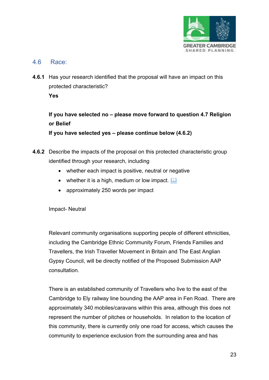

#### 4.6 [Race:](https://www.equalityhumanrights.com/en/equality-act/protected-characteristics#age)

**4.6.1** Has your research identified that the proposal will have an impact on this protected characteristic? **Yes**

**If you have selected no – please move forward to question 4.7 Religion or Belief**

**If you have selected yes – please continue below (4.6.2)**

- **4.6.2** Describe the impacts of the proposal on this protected characteristic group identified through your research, including
	- whether each impact is positive, neutral or negative
	- whether it is a high, medium or low impact.  $\square$
	- approximately 250 words per impact

Impact- Neutral

Relevant community organisations supporting people of different ethnicities, including the Cambridge Ethnic Community Forum, Friends Families and Travellers, the Irish Traveller Movement in Britain and The East Anglian Gypsy Council, will be directly notified of the Proposed Submission AAP consultation.

There is an established community of Travellers who live to the east of the Cambridge to Ely railway line bounding the AAP area in Fen Road. There are approximately 340 mobiles/caravans within this area, although this does not represent the number of pitches or households. In relation to the location of this community, there is currently only one road for access, which causes the community to experience exclusion from the surrounding area and has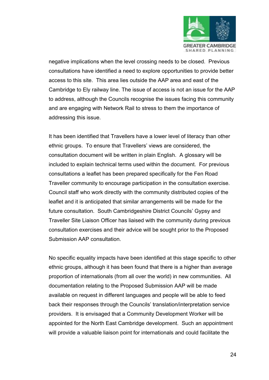

negative implications when the level crossing needs to be closed. Previous consultations have identified a need to explore opportunities to provide better access to this site. This area lies outside the AAP area and east of the Cambridge to Ely railway line. The issue of access is not an issue for the AAP to address, although the Councils recognise the issues facing this community and are engaging with Network Rail to stress to them the importance of addressing this issue.

It has been identified that Travellers have a lower level of literacy than other ethnic groups. To ensure that Travellers' views are considered, the consultation document will be written in plain English. A glossary will be included to explain technical terms used within the document. For previous consultations a leaflet has been prepared specifically for the Fen Road Traveller community to encourage participation in the consultation exercise. Council staff who work directly with the community distributed copies of the leaflet and it is anticipated that similar arrangements will be made for the future consultation. South Cambridgeshire District Councils' Gypsy and Traveller Site Liaison Officer has liaised with the community during previous consultation exercises and their advice will be sought prior to the Proposed Submission AAP consultation.

No specific equality impacts have been identified at this stage specific to other ethnic groups, although it has been found that there is a higher than average proportion of internationals (from all over the world) in new communities. All documentation relating to the Proposed Submission AAP will be made available on request in different languages and people will be able to feed back their responses through the Councils' translation/interpretation service providers. It is envisaged that a Community Development Worker will be appointed for the North East Cambridge development. Such an appointment will provide a valuable liaison point for internationals and could facilitate the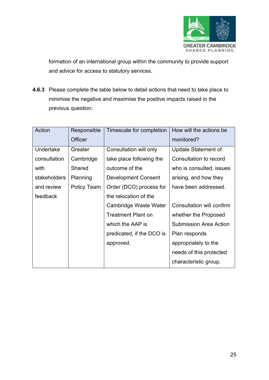

formation of an international group within the community to provide support and advice for access to statutory services.

**4.6.3** Please complete the table below to detail actions that need to take place to minimise the negative and maximise the positive impacts raised in the previous question:

| Action       | Responsible        | Timescale for completion   | How will the actions be          |
|--------------|--------------------|----------------------------|----------------------------------|
|              | Officer            |                            | monitored?                       |
| Undertake    | Greater            | Consultation will only     | <b>Update Statement of</b>       |
| consultation | Cambridge          | take place following the   | Consultation to record           |
| with         | Shared             | outcome of the             | who is consulted, issues         |
| stakeholders | Planning           | <b>Development Consent</b> | arising, and how they            |
| and review   | <b>Policy Team</b> | Order (DCO) process for    | have been addressed.             |
| feedback     |                    | the relocation of the      |                                  |
|              |                    | Cambridge Waste Water      | <b>Consultation will confirm</b> |
|              |                    | <b>Treatment Plant on</b>  | whether the Proposed             |
|              |                    | which the AAP is           | <b>Submission Area Action</b>    |
|              |                    | predicated, if the DCO is  | Plan responds                    |
|              |                    | approved.                  | appropriately to the             |
|              |                    |                            | needs of this protected          |
|              |                    |                            | characteristic group.            |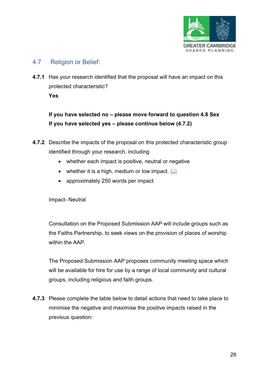

#### 4.7 [Religion or Belief:](https://www.equalityhumanrights.com/en/equality-act/protected-characteristics#age)

**4.7.1** Has your research identified that the proposal will have an impact on this protected characteristic? **Yes**

**If you have selected no – please move forward to question 4.8 Sex If you have selected yes – please continue below (4.7.2)**

- **4.7.2** Describe the impacts of the proposal on this protected characteristic group identified through your research, including
	- whether each impact is positive, neutral or negative
	- whether it is a high, medium or low impact.  $\Box$
	- approximately 250 words per impact

Impact- Neutral

Consultation on the Proposed Submission AAP will include groups such as the Faiths Partnership, to seek views on the provision of places of worship within the AAP.

The Proposed Submission AAP proposes community meeting space which will be available for hire for use by a range of local community and cultural groups, including religious and faith groups.

**4.7.3** Please complete the table below to detail actions that need to take place to minimise the negative and maximise the positive impacts raised in the previous question: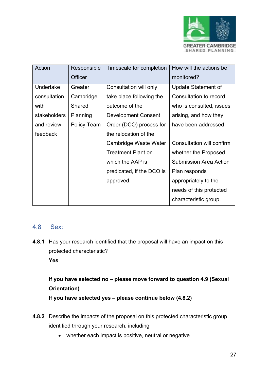

| Action       | Responsible | Timescale for completion  | How will the actions be       |
|--------------|-------------|---------------------------|-------------------------------|
|              | Officer     |                           | monitored?                    |
| Undertake    | Greater     | Consultation will only    | <b>Update Statement of</b>    |
| consultation | Cambridge   | take place following the  | Consultation to record        |
| with         | Shared      | outcome of the            | who is consulted, issues      |
| stakeholders | Planning    | Development Consent       | arising, and how they         |
| and review   | Policy Team | Order (DCO) process for   | have been addressed.          |
| feedback     |             | the relocation of the     |                               |
|              |             | Cambridge Waste Water     | Consultation will confirm     |
|              |             | <b>Treatment Plant on</b> | whether the Proposed          |
|              |             | which the AAP is          | <b>Submission Area Action</b> |
|              |             | predicated, if the DCO is | Plan responds                 |
|              |             | approved.                 | appropriately to the          |
|              |             |                           | needs of this protected       |
|              |             |                           | characteristic group.         |

### 4.8 [Sex:](https://www.equalityhumanrights.com/en/equality-act/protected-characteristics#age)

**4.8.1** Has your research identified that the proposal will have an impact on this protected characteristic? **Yes**

# **If you have selected no – please move forward to question 4.9 (Sexual Orientation) If you have selected yes – please continue below (4.8.2)**

- **4.8.2** Describe the impacts of the proposal on this protected characteristic group identified through your research, including
	- whether each impact is positive, neutral or negative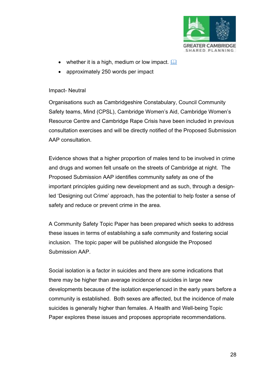

- whether it is a high, medium or low impact.  $\square$
- approximately 250 words per impact

#### Impact- Neutral

Organisations such as Cambridgeshire Constabulary, Council Community Safety teams, Mind (CPSL), Cambridge Women's Aid, Cambridge Women's Resource Centre and Cambridge Rape Crisis have been included in previous consultation exercises and will be directly notified of the Proposed Submission AAP consultation.

Evidence shows that a higher proportion of males tend to be involved in crime and drugs and women felt unsafe on the streets of Cambridge at night. The Proposed Submission AAP identifies community safety as one of the important principles guiding new development and as such, through a designled 'Designing out Crime' approach, has the potential to help foster a sense of safety and reduce or prevent crime in the area.

A Community Safety Topic Paper has been prepared which seeks to address these issues in terms of establishing a safe community and fostering social inclusion. The topic paper will be published alongside the Proposed Submission AAP.

Social isolation is a factor in suicides and there are some indications that there may be higher than average incidence of suicides in large new developments because of the isolation experienced in the early years before a community is established. Both sexes are affected, but the incidence of male suicides is generally higher than females. A Health and Well-being Topic Paper explores these issues and proposes appropriate recommendations.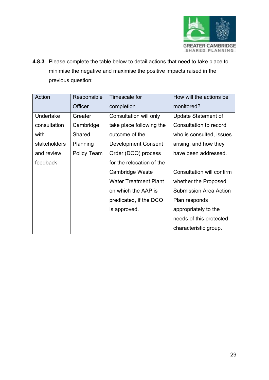

**4.8.3** Please complete the table below to detail actions that need to take place to minimise the negative and maximise the positive impacts raised in the previous question:

| Action       | Responsible        | Timescale for                | How will the actions be       |
|--------------|--------------------|------------------------------|-------------------------------|
|              | <b>Officer</b>     | completion                   | monitored?                    |
| Undertake    | Greater            | Consultation will only       | Update Statement of           |
| consultation | Cambridge          | take place following the     | Consultation to record        |
| with         | Shared             | outcome of the               | who is consulted, issues      |
| stakeholders | Planning           | <b>Development Consent</b>   | arising, and how they         |
| and review   | <b>Policy Team</b> | Order (DCO) process          | have been addressed.          |
| feedback     |                    | for the relocation of the    |                               |
|              |                    | Cambridge Waste              | Consultation will confirm     |
|              |                    | <b>Water Treatment Plant</b> | whether the Proposed          |
|              |                    | on which the AAP is          | <b>Submission Area Action</b> |
|              |                    | predicated, if the DCO       | Plan responds                 |
|              |                    | is approved.                 | appropriately to the          |
|              |                    |                              | needs of this protected       |
|              |                    |                              | characteristic group.         |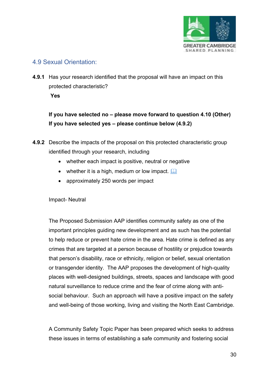

### 4.9 [Sexual Orientation:](https://www.equalityhumanrights.com/en/equality-act/protected-characteristics#age)

**4.9.1** Has your research identified that the proposal will have an impact on this protected characteristic? **Yes** 

**If you have selected no – please move forward to question 4.10 (Other) If you have selected yes – please continue below (4.9.2)**

- **4.9.2** Describe the impacts of the proposal on this protected characteristic group identified through your research, including
	- whether each impact is positive, neutral or negative
	- whether it is a high, medium or low impact.  $\Box$
	- approximately 250 words per impact

Impact- Neutral

The Proposed Submission AAP identifies community safety as one of the important principles guiding new development and as such has the potential to help reduce or prevent hate crime in the area. Hate crime is defined as any crimes that are targeted at a person because of hostility or prejudice towards that person's disability, race or ethnicity, religion or belief, sexual orientation or transgender identity. The AAP proposes the development of high-quality places with well-designed buildings, streets, spaces and landscape with good natural surveillance to reduce crime and the fear of crime along with antisocial behaviour. Such an approach will have a positive impact on the safety and well-being of those working, living and visiting the North East Cambridge.

A Community Safety Topic Paper has been prepared which seeks to address these issues in terms of establishing a safe community and fostering social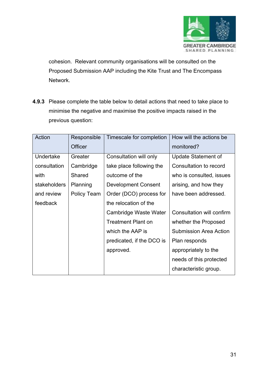

cohesion. Relevant community organisations will be consulted on the Proposed Submission AAP including the Kite Trust and The Encompass Network.

**4.9.3** Please complete the table below to detail actions that need to take place to minimise the negative and maximise the positive impacts raised in the previous question:

| Action       | Responsible | Timescale for completion   | How will the actions be          |
|--------------|-------------|----------------------------|----------------------------------|
|              | Officer     |                            | monitored?                       |
| Undertake    | Greater     | Consultation will only     | <b>Update Statement of</b>       |
| consultation | Cambridge   | take place following the   | Consultation to record           |
| with         | Shared      | outcome of the             | who is consulted, issues         |
| stakeholders | Planning    | <b>Development Consent</b> | arising, and how they            |
| and review   | Policy Team | Order (DCO) process for    | have been addressed.             |
| feedback     |             | the relocation of the      |                                  |
|              |             | Cambridge Waste Water      | <b>Consultation will confirm</b> |
|              |             | <b>Treatment Plant on</b>  | whether the Proposed             |
|              |             | which the AAP is           | <b>Submission Area Action</b>    |
|              |             | predicated, if the DCO is  | Plan responds                    |
|              |             | approved.                  | appropriately to the             |
|              |             |                            | needs of this protected          |
|              |             |                            | characteristic group.            |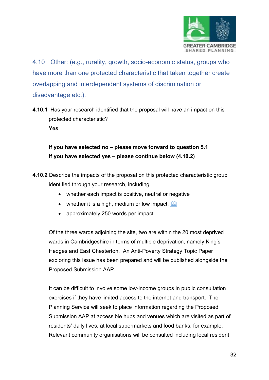

4.10 Other: (e.g., rurality, growth, socio-economic status, groups who have more than one protected characteristic that taken together create overlapping and interdependent systems of discrimination or disadvantage etc.).

**4.10.1** Has your research identified that the proposal will have an impact on this protected characteristic? **Yes**

**If you have selected no – please move forward to question 5.1 If you have selected yes – please continue below (4.10.2)**

- **4.10.2** Describe the impacts of the proposal on this protected characteristic group identified through your research, including
	- whether each impact is positive, neutral or negative
	- whether it is a high, medium or low impact.  $\square$
	- approximately 250 words per impact

Of the three wards adjoining the site, two are within the 20 most deprived wards in Cambridgeshire in terms of multiple deprivation, namely King's Hedges and East Chesterton. An Anti-Poverty Strategy Topic Paper exploring this issue has been prepared and will be published alongside the Proposed Submission AAP.

It can be difficult to involve some low-income groups in public consultation exercises if they have limited access to the internet and transport. The Planning Service will seek to place information regarding the Proposed Submission AAP at accessible hubs and venues which are visited as part of residents' daily lives, at local supermarkets and food banks, for example. Relevant community organisations will be consulted including local resident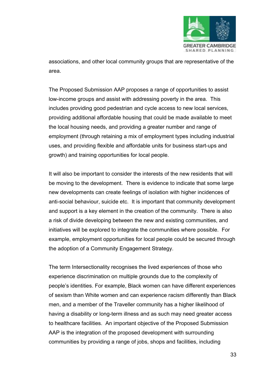

associations, and other local community groups that are representative of the area.

The Proposed Submission AAP proposes a range of opportunities to assist low-income groups and assist with addressing poverty in the area. This includes providing good pedestrian and cycle access to new local services, providing additional affordable housing that could be made available to meet the local housing needs, and providing a greater number and range of employment (through retaining a mix of employment types including industrial uses, and providing flexible and affordable units for business start-ups and growth) and training opportunities for local people.

It will also be important to consider the interests of the new residents that will be moving to the development. There is evidence to indicate that some large new developments can create feelings of isolation with higher incidences of anti-social behaviour, suicide etc. It is important that community development and support is a key element in the creation of the community. There is also a risk of divide developing between the new and existing communities, and initiatives will be explored to integrate the communities where possible. For example, employment opportunities for local people could be secured through the adoption of a Community Engagement Strategy.

The term Intersectionality recognises the lived experiences of those who experience discrimination on multiple grounds due to the complexity of people's identities. For example, Black women can have different experiences of sexism than White women and can experience racism differently than Black men, and a member of the Traveller community has a higher likelihood of having a disability or long-term illness and as such may need greater access to healthcare facilities. An important objective of the Proposed Submission AAP is the integration of the proposed development with surrounding communities by providing a range of jobs, shops and facilities, including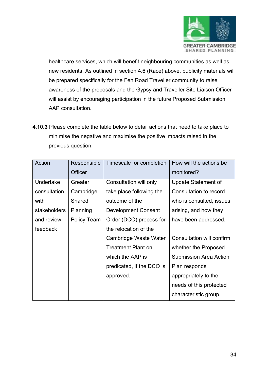

healthcare services, which will benefit neighbouring communities as well as new residents. As outlined in section 4.6 (Race) above, publicity materials will be prepared specifically for the Fen Road Traveller community to raise awareness of the proposals and the Gypsy and Traveller Site Liaison Officer will assist by encouraging participation in the future Proposed Submission AAP consultation.

**4.10.3** Please complete the table below to detail actions that need to take place to minimise the negative and maximise the positive impacts raised in the previous question:

| Action       | Responsible    | Timescale for completion   | How will the actions be       |
|--------------|----------------|----------------------------|-------------------------------|
|              | <b>Officer</b> |                            | monitored?                    |
| Undertake    | Greater        | Consultation will only     | Update Statement of           |
| consultation | Cambridge      | take place following the   | Consultation to record        |
| with         | Shared         | outcome of the             | who is consulted, issues      |
| stakeholders | Planning       | <b>Development Consent</b> | arising, and how they         |
| and review   | Policy Team    | Order (DCO) process for    | have been addressed.          |
| feedback     |                | the relocation of the      |                               |
|              |                | Cambridge Waste Water      | Consultation will confirm     |
|              |                | <b>Treatment Plant on</b>  | whether the Proposed          |
|              |                | which the AAP is           | <b>Submission Area Action</b> |
|              |                | predicated, if the DCO is  | Plan responds                 |
|              |                | approved.                  | appropriately to the          |
|              |                |                            | needs of this protected       |
|              |                |                            | characteristic group.         |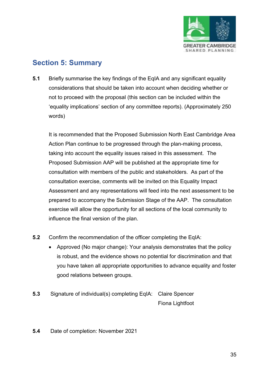

## **Section 5: Summary**

**5.1** Briefly summarise the key findings of the EqIA and any significant equality considerations that should be taken into account when deciding whether or not to proceed with the proposal (this section can be included within the 'equality implications' section of any committee reports). (Approximately 250 words)

It is recommended that the Proposed Submission North East Cambridge Area Action Plan continue to be progressed through the plan-making process, taking into account the equality issues raised in this assessment. The Proposed Submission AAP will be published at the appropriate time for consultation with members of the public and stakeholders. As part of the consultation exercise, comments will be invited on this Equality Impact Assessment and any representations will feed into the next assessment to be prepared to accompany the Submission Stage of the AAP. The consultation exercise will allow the opportunity for all sections of the local community to influence the final version of the plan.

- **5.2** Confirm the recommendation of the officer completing the EqIA:
	- Approved (No major change): Your analysis demonstrates that the policy is robust, and the evidence shows no potential for discrimination and that you have taken all appropriate opportunities to advance equality and foster good relations between groups.
- **5.3** Signature of individual(s) completing EqIA: Claire Spencer Fiona Lightfoot

#### **5.4** Date of completion: November 2021